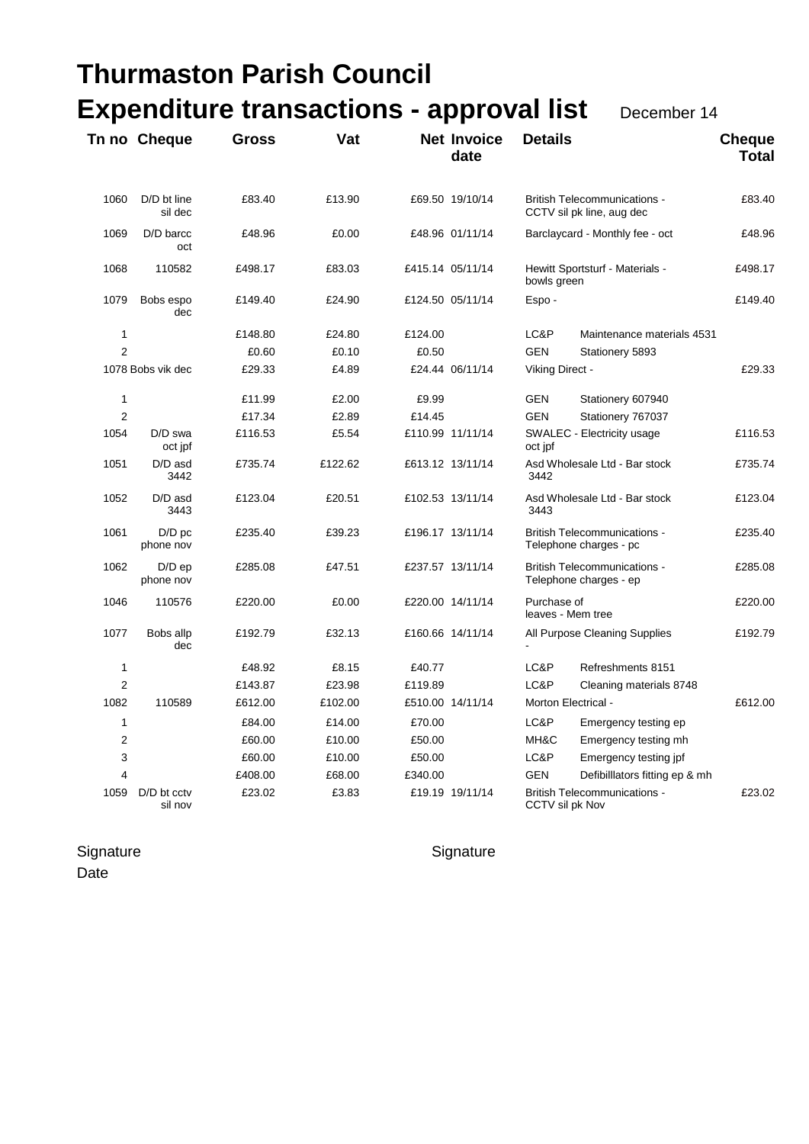|                |                        | <b>Thurmaston Parish Council</b>                |         |         |                            |                                                                  |                                     |                               |
|----------------|------------------------|-------------------------------------------------|---------|---------|----------------------------|------------------------------------------------------------------|-------------------------------------|-------------------------------|
|                |                        | <b>Expenditure transactions - approval list</b> |         |         |                            |                                                                  | December 14                         |                               |
|                | Tn no Cheque           | <b>Gross</b>                                    | Vat     |         | <b>Net Invoice</b><br>date | <b>Details</b>                                                   |                                     | <b>Cheque</b><br><b>Total</b> |
| 1060           | D/D bt line<br>sil dec | £83.40                                          | £13.90  |         | £69.50 19/10/14            | <b>British Telecommunications -</b><br>CCTV sil pk line, aug dec |                                     | £83.40                        |
| 1069           | D/D barcc<br>oct       | £48.96                                          | £0.00   |         | £48.96 01/11/14            | Barclaycard - Monthly fee - oct                                  |                                     | £48.96                        |
| 1068           | 110582                 | £498.17                                         | £83.03  |         | £415.14 05/11/14           | Hewitt Sportsturf - Materials -<br>bowls green                   |                                     | £498.17                       |
| 1079           | Bobs espo<br>dec       | £149.40                                         | £24.90  |         | £124.50 05/11/14           | Espo-                                                            |                                     | £149.40                       |
| $\mathbf{1}$   |                        | £148.80                                         | £24.80  | £124.00 |                            | LC&P                                                             | Maintenance materials 4531          |                               |
| $\overline{2}$ |                        | £0.60                                           | £0.10   | £0.50   |                            | <b>GEN</b>                                                       | Stationery 5893                     |                               |
|                | 1078 Bobs vik dec      | £29.33                                          | £4.89   |         | £24.44 06/11/14            | Viking Direct -                                                  |                                     | £29.33                        |
| 1              |                        | £11.99                                          | £2.00   | £9.99   |                            | <b>GEN</b>                                                       | Stationery 607940                   |                               |
| $\overline{2}$ |                        | £17.34                                          | £2.89   | £14.45  |                            | <b>GEN</b>                                                       | Stationery 767037                   |                               |
| 1054           | D/D swa<br>oct jpf     | £116.53                                         | £5.54   |         | £110.99 11/11/14           | oct jpf                                                          | SWALEC - Electricity usage          | £116.53                       |
| 1051           | D/D asd<br>3442        | £735.74                                         | £122.62 |         | £613.12 13/11/14           | 3442                                                             | Asd Wholesale Ltd - Bar stock       | £735.74                       |
| 1052           | D/D asd<br>3443        | £123.04                                         | £20.51  |         | £102.53 13/11/14           | Asd Wholesale Ltd - Bar stock<br>3443                            |                                     | £123.04                       |
| 1061           | $D/D$ pc<br>phone nov  | £235.40                                         | £39.23  |         | £196.17 13/11/14           | <b>British Telecommunications -</b><br>Telephone charges - pc    |                                     | £235.40                       |
| 1062           | $D/D$ ep<br>phone nov  | £285.08                                         | £47.51  |         | £237.57 13/11/14           | <b>British Telecommunications -</b><br>Telephone charges - ep    |                                     | £285.08                       |
| 1046           | 110576                 | £220.00                                         | £0.00   |         | £220.00 14/11/14           | Purchase of<br>leaves - Mem tree                                 |                                     | £220.00                       |
| 1077           | Bobs allp<br>dec       | £192.79                                         | £32.13  |         | £160.66 14/11/14           |                                                                  | All Purpose Cleaning Supplies       | £192.79                       |
| 1              |                        | £48.92                                          | £8.15   | £40.77  |                            | LC&P                                                             | Refreshments 8151                   |                               |
| $\overline{c}$ |                        | £143.87                                         | £23.98  | £119.89 |                            | LC&P                                                             | Cleaning materials 8748             |                               |
| 1082           | 110589                 | £612.00                                         | £102.00 |         | £510.00 14/11/14           | Morton Electrical -                                              |                                     | £612.00                       |
| $\mathbf{1}$   |                        | £84.00                                          | £14.00  | £70.00  |                            | LC&P                                                             | Emergency testing ep                |                               |
| $\overline{c}$ |                        | £60.00                                          | £10.00  | £50.00  |                            | MH&C                                                             | Emergency testing mh                |                               |
| 3              |                        | £60.00                                          | £10.00  | £50.00  |                            | LC&P                                                             | Emergency testing jpf               |                               |
| 4              |                        | £408.00                                         | £68.00  | £340.00 |                            | <b>GEN</b>                                                       | Defibillators fitting ep & mh       |                               |
| 1059           | D/D bt cctv<br>sil nov | £23.02                                          | £3.83   |         | £19.19 19/11/14            | CCTV sil pk Nov                                                  | <b>British Telecommunications -</b> | £23.02                        |

Signature Signature Signature Date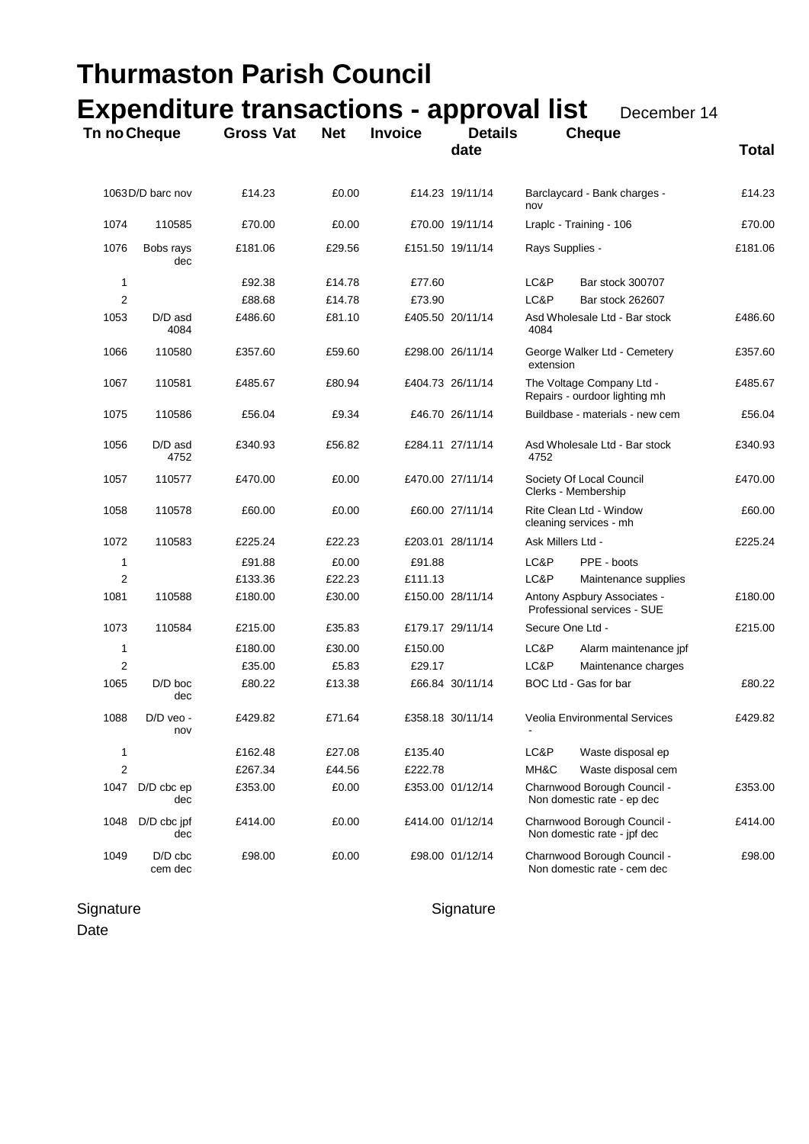|                         |                       | Thurmaston Parish Council                       |            |                |                        |                                                            |              |
|-------------------------|-----------------------|-------------------------------------------------|------------|----------------|------------------------|------------------------------------------------------------|--------------|
|                         |                       | <b>Expenditure transactions - approval list</b> |            |                |                        | December 14                                                |              |
| Tn no Cheque            |                       | <b>Gross Vat</b>                                | <b>Net</b> | <b>Invoice</b> | <b>Details</b><br>date | <b>Cheque</b>                                              | <b>Total</b> |
| 1063D/D barc nov        |                       | £14.23                                          | £0.00      |                | £14.23 19/11/14        | Barclaycard - Bank charges -<br>nov                        | £14.23       |
| 1074                    | 110585                | £70.00                                          | £0.00      |                | £70.00 19/11/14        | Lraplc - Training - 106                                    | £70.00       |
| 1076                    | Bobs rays<br>dec      | £181.06                                         | £29.56     |                | £151.50 19/11/14       | Rays Supplies -                                            | £181.06      |
| 1                       |                       | £92.38                                          | £14.78     | £77.60         |                        | LC&P<br>Bar stock 300707                                   |              |
| 2                       |                       | £88.68                                          | £14.78     | £73.90         |                        | LC&P<br><b>Bar stock 262607</b>                            |              |
| 1053                    | D/D asd<br>4084       | £486.60                                         | £81.10     |                | £405.50 20/11/14       | Asd Wholesale Ltd - Bar stock<br>4084                      | £486.60      |
| 1066                    | 110580                | £357.60                                         | £59.60     |                | £298.00 26/11/14       | George Walker Ltd - Cemetery<br>extension                  | £357.60      |
| 1067                    | 110581                | £485.67                                         | £80.94     |                | £404.73 26/11/14       | The Voltage Company Ltd -<br>Repairs - ourdoor lighting mh | £485.67      |
| 1075                    | 110586                | £56.04                                          | £9.34      |                | £46.70 26/11/14        | Buildbase - materials - new cem                            | £56.04       |
| 1056                    | D/D asd<br>4752       | £340.93                                         | £56.82     |                | £284.11 27/11/14       | Asd Wholesale Ltd - Bar stock<br>4752                      | £340.93      |
| 1057                    | 110577                | £470.00                                         | £0.00      |                | £470.00 27/11/14       | Society Of Local Council<br>Clerks - Membership            | £470.00      |
| 1058                    | 110578                | £60.00                                          | £0.00      |                | £60.00 27/11/14        | Rite Clean Ltd - Window<br>cleaning services - mh          | £60.00       |
| 1072                    | 110583                | £225.24                                         | £22.23     |                | £203.01 28/11/14       | Ask Millers Ltd -                                          | £225.24      |
| 1                       |                       | £91.88                                          | £0.00      | £91.88         |                        | LC&P<br>PPE - boots                                        |              |
| 2                       |                       | £133.36                                         | £22.23     | £111.13        |                        | LC&P<br>Maintenance supplies                               |              |
| 1081                    | 110588                | £180.00                                         | £30.00     |                | £150.00 28/11/14       | Antony Aspbury Associates -<br>Professional services - SUE | £180.00      |
| 1073                    | 110584                | £215.00                                         | £35.83     |                | £179.17 29/11/14       | Secure One Ltd -                                           | £215.00      |
| 1                       |                       | £180.00                                         | £30.00     | £150.00        |                        | LC&P<br>Alarm maintenance jpf                              |              |
| 2                       |                       | £35.00                                          | £5.83      | £29.17         |                        | LC&P<br>Maintenance charges                                |              |
| 1065                    | $D/D$ boc<br>dec      | £80.22                                          | £13.38     |                | £66.84 30/11/14        | BOC Ltd - Gas for bar                                      | £80.22       |
| 1088                    | D/D veo -<br>nov      | £429.82                                         | £71.64     |                | £358.18 30/11/14       | Veolia Environmental Services                              | £429.82      |
| 1                       |                       | £162.48                                         | £27.08     | £135.40        |                        | LC&P<br>Waste disposal ep                                  |              |
| $\overline{\mathbf{c}}$ |                       | £267.34                                         | £44.56     | £222.78        |                        | MH&C<br>Waste disposal cem                                 |              |
| 1047                    | $D/D$ cbc $ep$<br>dec | £353.00                                         | £0.00      |                | £353.00 01/12/14       | Charnwood Borough Council -<br>Non domestic rate - ep dec  | £353.00      |
| 1048                    | D/D cbc jpf<br>dec    | £414.00                                         | £0.00      |                | £414.00 01/12/14       | Charnwood Borough Council -<br>Non domestic rate - jpf dec | £414.00      |
| 1049                    | $D/D$ cbc<br>cem dec  | £98.00                                          | £0.00      |                | £98.00 01/12/14        | Charnwood Borough Council -<br>Non domestic rate - cem dec | £98.00       |

Signature Signature Signature

Date